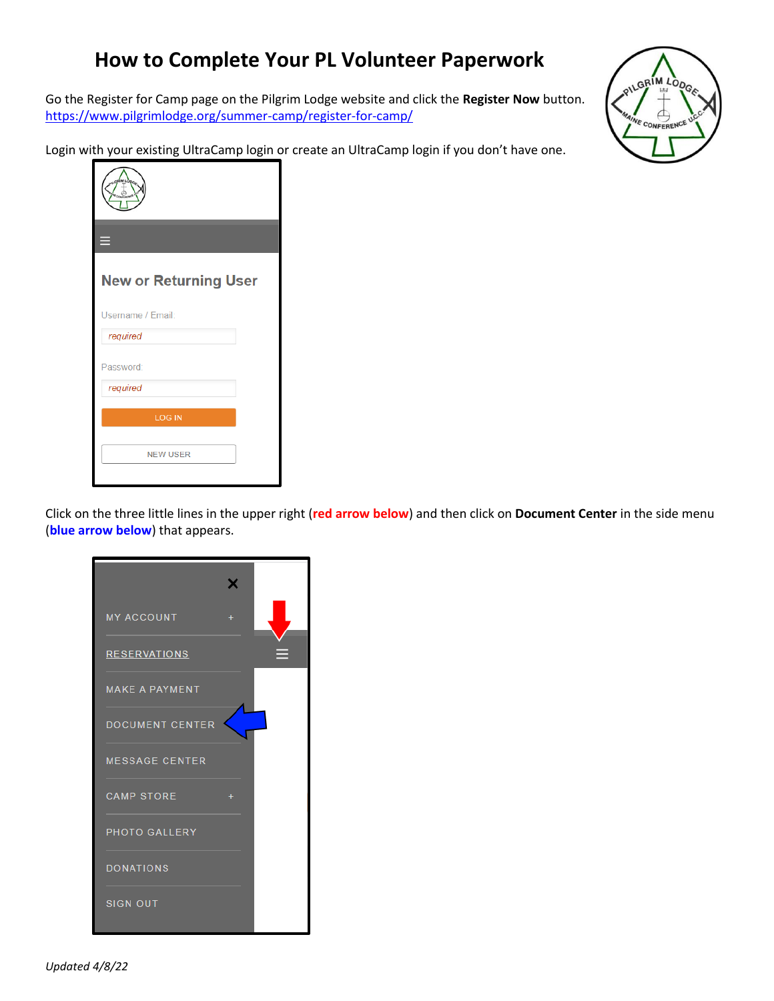## **How to Complete Your PL Volunteer Paperwork**

Go the Register for Camp page on the Pilgrim Lodge website and click the **Register Now** button. <https://www.pilgrimlodge.org/summer-camp/register-for-camp/>

Login with your existing UltraCamp login or create an UltraCamp login if you don't have one.



| ═                            |
|------------------------------|
| <b>New or Returning User</b> |
| Username / Email:            |
| required                     |
| Password:                    |
| required                     |
| <b>LOG IN</b>                |
| <b>NEW USER</b>              |

Click on the three little lines in the upper right (**red arrow below**) and then click on **Document Center** in the side menu (**blue arrow below**) that appears.

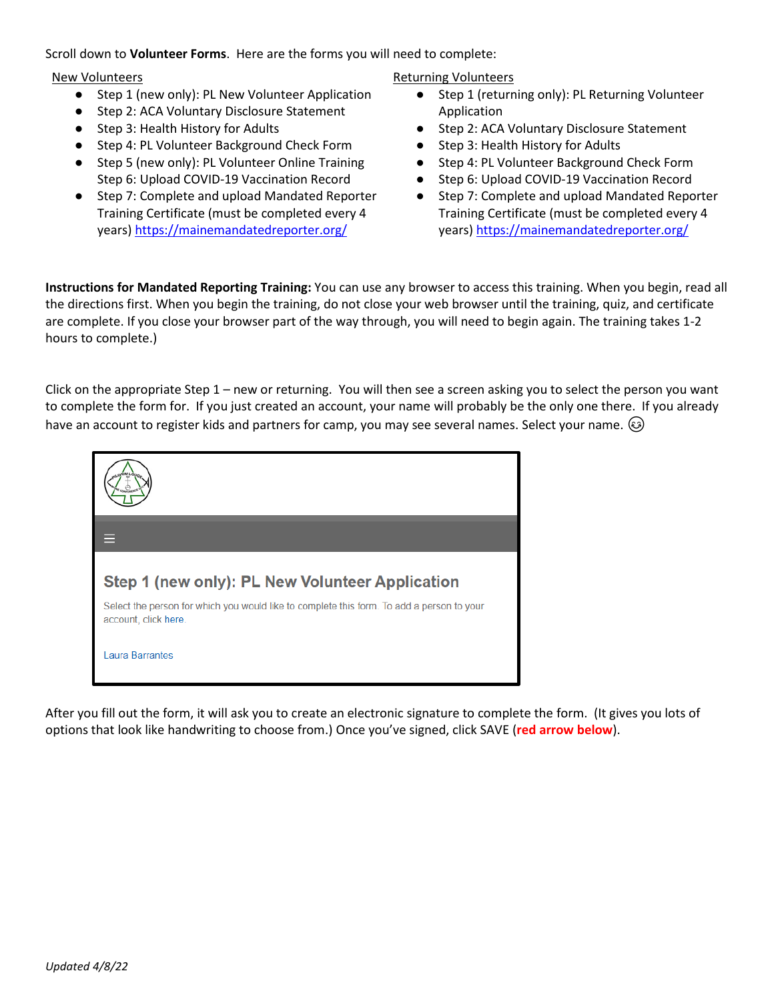Scroll down to **Volunteer Forms**. Here are the forms you will need to complete:

## New Volunteers

- Step 1 (new only): PL New Volunteer Application
- Step 2: ACA Voluntary Disclosure Statement
- Step 3: Health History for Adults
- Step 4: PL Volunteer Background Check Form
- Step 5 (new only): PL Volunteer Online Training Step 6: Upload COVID-19 Vaccination Record
- Step 7: Complete and upload Mandated Reporter Training Certificate (must be completed every 4 years) <https://mainemandatedreporter.org/>

## Returning Volunteers

- Step 1 (returning only): PL Returning Volunteer Application
- Step 2: ACA Voluntary Disclosure Statement
- Step 3: Health History for Adults
- Step 4: PL Volunteer Background Check Form
- Step 6: Upload COVID-19 Vaccination Record
- Step 7: Complete and upload Mandated Reporter Training Certificate (must be completed every 4 years) <https://mainemandatedreporter.org/>

**Instructions for Mandated Reporting Training:** You can use any browser to access this training. When you begin, read all the directions first. When you begin the training, do not close your web browser until the training, quiz, and certificate are complete. If you close your browser part of the way through, you will need to begin again. The training takes 1-2 hours to complete.)

Click on the appropriate Step 1 – new or returning. You will then see a screen asking you to select the person you want to complete the form for. If you just created an account, your name will probably be the only one there. If you already have an account to register kids and partners for camp, you may see several names. Select your name.  $\circledcirc$ 



After you fill out the form, it will ask you to create an electronic signature to complete the form. (It gives you lots of options that look like handwriting to choose from.) Once you've signed, click SAVE (**red arrow below**).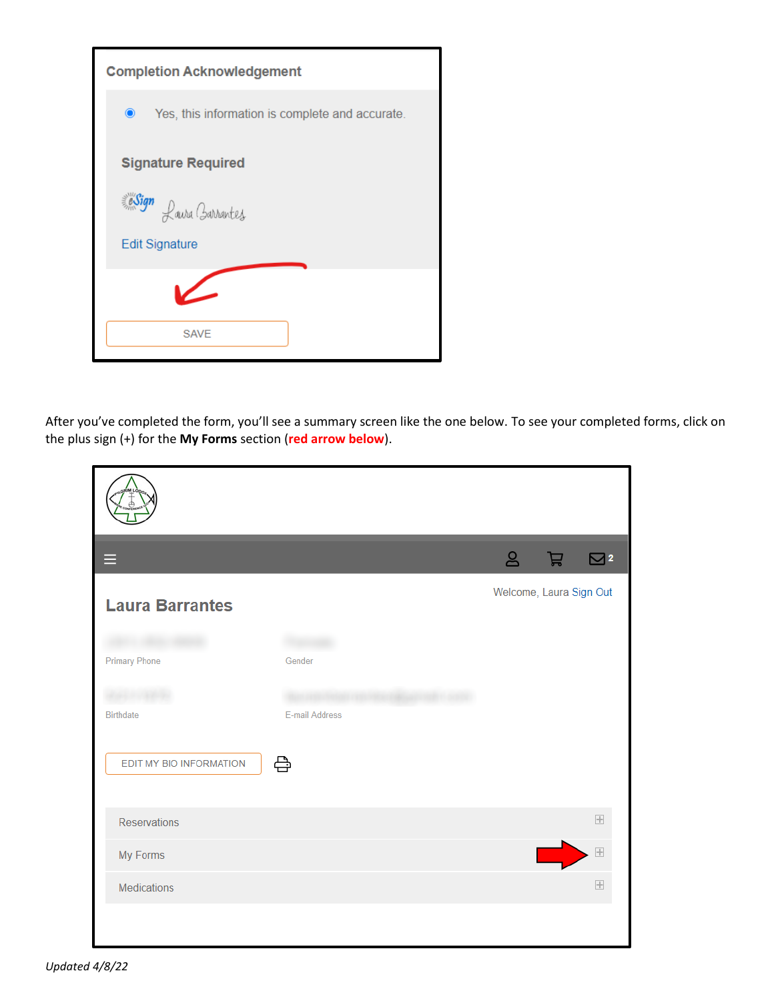| <b>Completion Acknowledgement</b>                            |  |  |
|--------------------------------------------------------------|--|--|
| $\bullet$<br>Yes, this information is complete and accurate. |  |  |
| <b>Signature Required</b>                                    |  |  |
| Sign Lawa Barrantes                                          |  |  |
| <b>Edit Signature</b>                                        |  |  |
|                                                              |  |  |
| <b>SAVE</b>                                                  |  |  |

After you've completed the form, you'll see a summary screen like the one below. To see your completed forms, click on the plus sign (+) for the **My Forms** section (**red arrow below**).

| Ξ                       |                | ஃ                       | 吕 | $\overline{\smile}$ 2 |
|-------------------------|----------------|-------------------------|---|-----------------------|
| <b>Laura Barrantes</b>  |                | Welcome, Laura Sign Out |   |                       |
| <b>Primary Phone</b>    | Gender         |                         |   |                       |
| <b>Birthdate</b>        | E-mail Address |                         |   |                       |
| EDIT MY BIO INFORMATION | 읍              |                         |   |                       |
| <b>Reservations</b>     |                |                         |   | $\overline{+}$        |
| My Forms                |                |                         |   | $\overline{+}$        |
| Medications             |                |                         |   | $\overline{+}$        |
|                         |                |                         |   |                       |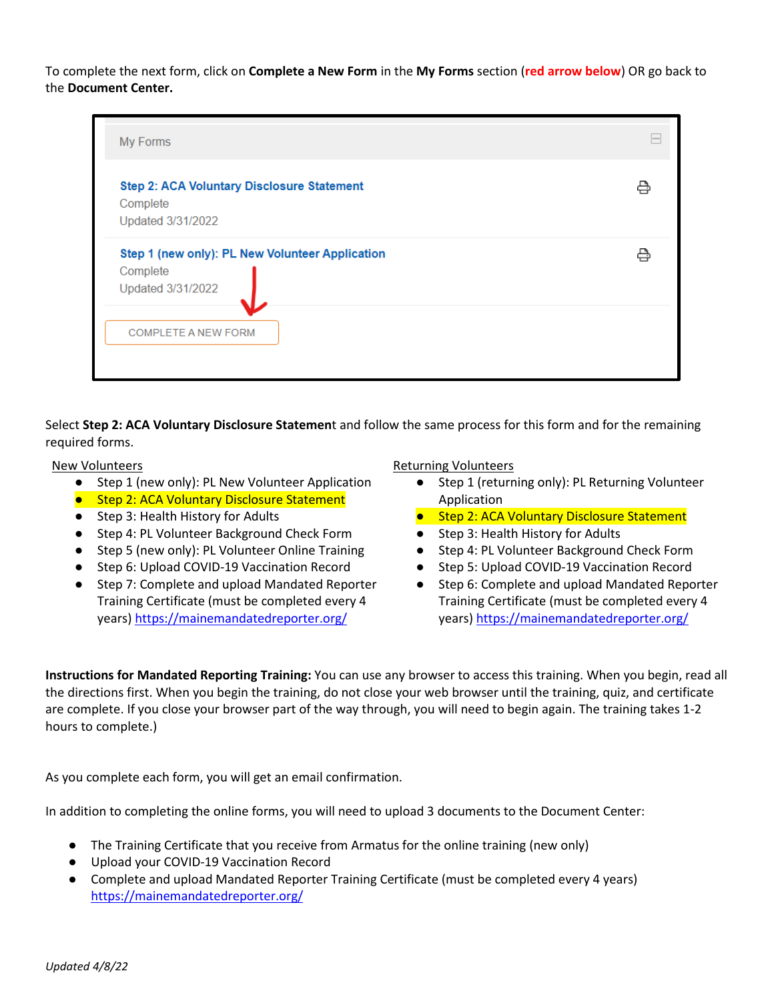To complete the next form, click on **Complete a New Form** in the **My Forms** section (**red arrow below**) OR go back to the **Document Center.** 

| My Forms                                                                                                       |  |
|----------------------------------------------------------------------------------------------------------------|--|
| <b>Step 2: ACA Voluntary Disclosure Statement</b><br>Complete<br>Updated 3/31/2022                             |  |
| Step 1 (new only): PL New Volunteer Application<br>Complete<br>Updated 3/31/2022<br><b>COMPLETE A NEW FORM</b> |  |
|                                                                                                                |  |

Select **Step 2: ACA Voluntary Disclosure Statemen**t and follow the same process for this form and for the remaining required forms.

New Volunteers

- Step 1 (new only): PL New Volunteer Application
- Step 2: ACA Voluntary Disclosure Statement
- Step 3: Health History for Adults
- Step 4: PL Volunteer Background Check Form
- Step 5 (new only): PL Volunteer Online Training
- Step 6: Upload COVID-19 Vaccination Record
- Step 7: Complete and upload Mandated Reporter Training Certificate (must be completed every 4 years) <https://mainemandatedreporter.org/>

Returning Volunteers

- Step 1 (returning only): PL Returning Volunteer Application
- Step 2: ACA Voluntary Disclosure Statement
- Step 3: Health History for Adults
- Step 4: PL Volunteer Background Check Form
- Step 5: Upload COVID-19 Vaccination Record
- Step 6: Complete and upload Mandated Reporter Training Certificate (must be completed every 4 years) <https://mainemandatedreporter.org/>

**Instructions for Mandated Reporting Training:** You can use any browser to access this training. When you begin, read all the directions first. When you begin the training, do not close your web browser until the training, quiz, and certificate are complete. If you close your browser part of the way through, you will need to begin again. The training takes 1-2 hours to complete.)

As you complete each form, you will get an email confirmation.

In addition to completing the online forms, you will need to upload 3 documents to the Document Center:

- The Training Certificate that you receive from Armatus for the online training (new only)
- Upload your COVID-19 Vaccination Record
- Complete and upload Mandated Reporter Training Certificate (must be completed every 4 years) <https://mainemandatedreporter.org/>